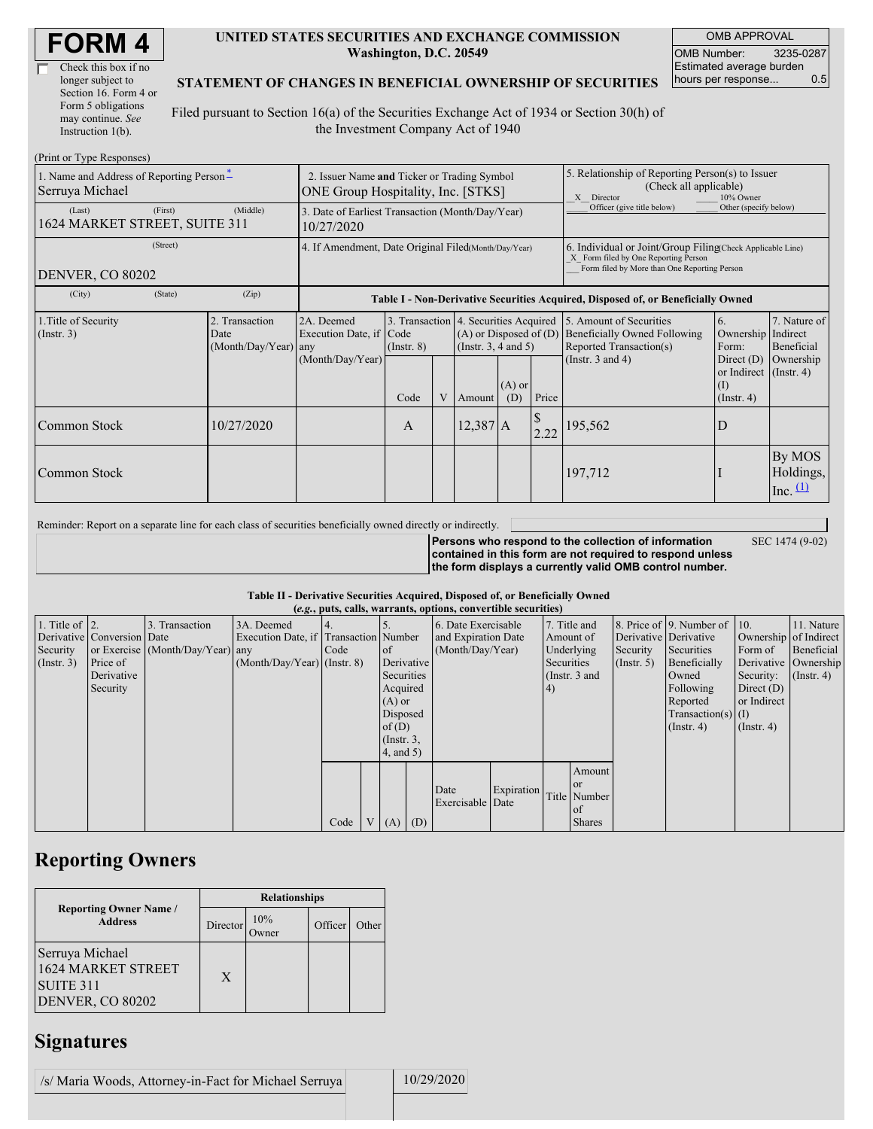| Check this box if no  |
|-----------------------|
| longer subject to     |
| Section 16. Form 4 or |
| Form 5 obligations    |
| may continue. See     |
| Instruction $1(b)$ .  |

 $(Drint or Trma D)$ 

#### **UNITED STATES SECURITIES AND EXCHANGE COMMISSION Washington, D.C. 20549**

OMB APPROVAL OMB Number: 3235-0287 Estimated average burden hours per response... 0.5

SEC 1474 (9-02)

#### **STATEMENT OF CHANGES IN BENEFICIAL OWNERSHIP OF SECURITIES**

Filed pursuant to Section 16(a) of the Securities Exchange Act of 1934 or Section 30(h) of the Investment Company Act of 1940

| $(1 \text{ min} \text{ of } 1 \text{ ypc} \text{ respectively})$<br>1. Name and Address of Reporting Person-<br>Serruya Michael<br>(Last) | 2. Issuer Name and Ticker or Trading Symbol<br>ONE Group Hospitality, Inc. [STKS]<br>3. Date of Earliest Transaction (Month/Day/Year) |                                                |                                                                                  |                 |   |                                                                                                 | 5. Relationship of Reporting Person(s) to Issuer<br>(Check all applicable)<br>10% Owner<br>X Director<br>Officer (give title below)<br>Other (specify below) |       |                                                                                                                    |                                                   |                                         |
|-------------------------------------------------------------------------------------------------------------------------------------------|---------------------------------------------------------------------------------------------------------------------------------------|------------------------------------------------|----------------------------------------------------------------------------------|-----------------|---|-------------------------------------------------------------------------------------------------|--------------------------------------------------------------------------------------------------------------------------------------------------------------|-------|--------------------------------------------------------------------------------------------------------------------|---------------------------------------------------|-----------------------------------------|
| 1624 MARKET STREET, SUITE 311                                                                                                             | 10/27/2020                                                                                                                            |                                                |                                                                                  |                 |   |                                                                                                 |                                                                                                                                                              |       |                                                                                                                    |                                                   |                                         |
| DENVER, CO 80202                                                                                                                          | 4. If Amendment, Date Original Filed(Month/Day/Year)                                                                                  |                                                |                                                                                  |                 |   |                                                                                                 | 6. Individual or Joint/Group Filing Check Applicable Line)<br>X Form filed by One Reporting Person<br>Form filed by More than One Reporting Person           |       |                                                                                                                    |                                                   |                                         |
| (City)                                                                                                                                    | (State)                                                                                                                               | (Zip)                                          | Table I - Non-Derivative Securities Acquired, Disposed of, or Beneficially Owned |                 |   |                                                                                                 |                                                                                                                                                              |       |                                                                                                                    |                                                   |                                         |
| 1. Title of Security<br>(Insert. 3)                                                                                                       |                                                                                                                                       | 2. Transaction<br>Date<br>(Month/Day/Year) any | 2A. Deemed<br>Execution Date, if Code<br>(Month/Day/Year)                        | $($ Instr. $8)$ |   | 3. Transaction 4. Securities Acquired<br>$(A)$ or Disposed of $(D)$<br>(Instr. $3, 4$ and $5$ ) |                                                                                                                                                              |       | 5. Amount of Securities<br><b>Beneficially Owned Following</b><br>Reported Transaction(s)<br>(Instr. $3$ and $4$ ) | 6.<br>Ownership Indirect<br>Form:<br>Direct (D)   | 7. Nature of<br>Beneficial<br>Ownership |
|                                                                                                                                           |                                                                                                                                       |                                                |                                                                                  | Code            | V | Amount                                                                                          | $(A)$ or<br>(D)                                                                                                                                              | Price |                                                                                                                    | or Indirect (Instr. 4)<br>(I)<br>$($ Instr. 4 $)$ |                                         |
| Common Stock                                                                                                                              |                                                                                                                                       | 10/27/2020                                     |                                                                                  | A               |   | $12,387$ A                                                                                      |                                                                                                                                                              | 2.22  | 195,562                                                                                                            | D                                                 |                                         |
| Common Stock                                                                                                                              |                                                                                                                                       |                                                |                                                                                  |                 |   |                                                                                                 |                                                                                                                                                              |       | 197,712                                                                                                            |                                                   | By MOS<br>Holdings,<br>Inc. $(1)$       |

Reminder: Report on a separate line for each class of securities beneficially owned directly or indirectly.

**Persons who respond to the collection of information contained in this form are not required to respond unless the form displays a currently valid OMB control number.**

### **Table II - Derivative Securities Acquired, Disposed of, or Beneficially Owned**

|                        | (e.g., puts, calls, warrants, options, convertible securities) |                                  |                                       |      |                |                     |                  |                     |                        |              |                 |              |                              |                       |                  |
|------------------------|----------------------------------------------------------------|----------------------------------|---------------------------------------|------|----------------|---------------------|------------------|---------------------|------------------------|--------------|-----------------|--------------|------------------------------|-----------------------|------------------|
| 1. Title of $\vert$ 2. |                                                                | 3. Transaction                   | 3A. Deemed                            |      |                |                     |                  | 6. Date Exercisable |                        | 7. Title and |                 |              | 8. Price of 9. Number of 10. |                       | 11. Nature       |
|                        | Derivative Conversion Date                                     |                                  | Execution Date, if Transaction Number |      |                | and Expiration Date |                  |                     |                        | Amount of    |                 |              | Derivative Derivative        | Ownership of Indirect |                  |
| Security               |                                                                | or Exercise (Month/Day/Year) any |                                       | Code |                | <sub>of</sub>       | (Month/Day/Year) |                     | Underlying<br>Security |              | Securities      | Form of      | Beneficial                   |                       |                  |
| (Insert. 3)            | Price of                                                       |                                  | $(Month/Day/Year)$ (Instr. 8)         |      |                |                     | Derivative       |                     | Securities             |              | $($ Instr. 5)   | Beneficially |                              | Derivative Ownership  |                  |
|                        | Derivative                                                     |                                  |                                       |      |                | Securities          |                  |                     |                        |              | (Instr. $3$ and |              | Owned                        | Security:             | $($ Instr. 4 $)$ |
|                        | Security                                                       |                                  |                                       |      |                | Acquired            |                  |                     |                        | $\vert 4)$   |                 |              | Following                    | Direct $(D)$          |                  |
|                        |                                                                |                                  |                                       |      |                | $(A)$ or            |                  |                     |                        |              |                 |              | Reported                     | or Indirect           |                  |
|                        |                                                                |                                  |                                       |      |                | Disposed            |                  |                     |                        |              |                 |              | $Transaction(s)$ (I)         |                       |                  |
|                        |                                                                |                                  |                                       |      |                | of $(D)$            |                  |                     |                        |              |                 |              | $($ Instr. 4 $)$             | $($ Instr. 4 $)$      |                  |
|                        |                                                                |                                  |                                       |      |                | $($ Instr. $3,$     |                  |                     |                        |              |                 |              |                              |                       |                  |
|                        |                                                                |                                  |                                       |      |                | 4, and 5)           |                  |                     |                        |              |                 |              |                              |                       |                  |
|                        |                                                                |                                  |                                       |      |                |                     |                  |                     |                        |              | Amount          |              |                              |                       |                  |
|                        |                                                                |                                  |                                       |      |                |                     |                  |                     |                        |              | <b>or</b>       |              |                              |                       |                  |
|                        |                                                                |                                  |                                       |      |                |                     |                  | Date                | Expiration             |              | Title Number    |              |                              |                       |                  |
|                        |                                                                |                                  |                                       |      |                |                     |                  | Exercisable Date    |                        |              | of              |              |                              |                       |                  |
|                        |                                                                |                                  |                                       | Code | V <sub>1</sub> | $(A)$ $(D)$         |                  |                     |                        |              | <b>Shares</b>   |              |                              |                       |                  |

### **Reporting Owners**

|                                                                               | <b>Relationships</b> |              |         |       |  |  |  |  |
|-------------------------------------------------------------------------------|----------------------|--------------|---------|-------|--|--|--|--|
| <b>Reporting Owner Name /</b><br><b>Address</b>                               | Director             | 10%<br>)wner | Officer | Other |  |  |  |  |
| Serruya Michael<br><b>1624 MARKET STREET</b><br>SUITE 311<br>DENVER, CO 80202 | X                    |              |         |       |  |  |  |  |

# **Signatures**

/s/ Maria Woods, Attorney-in-Fact for Michael Serruya 10/29/2020